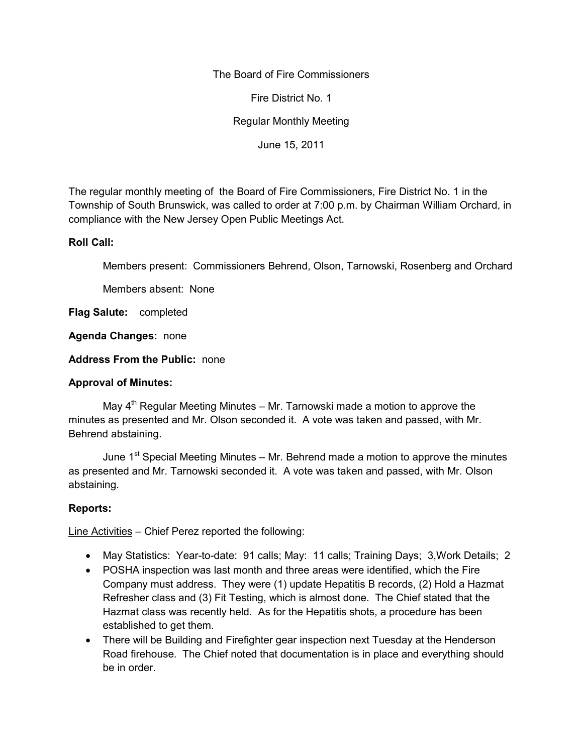## The Board of Fire Commissioners

Fire District No. 1

Regular Monthly Meeting

June 15, 2011

The regular monthly meeting of the Board of Fire Commissioners, Fire District No. 1 in the Township of South Brunswick, was called to order at 7:00 p.m. by Chairman William Orchard, in compliance with the New Jersey Open Public Meetings Act.

#### **Roll Call:**

Members present: Commissioners Behrend, Olson, Tarnowski, Rosenberg and Orchard

Members absent: None

**Flag Salute:** completed

**Agenda Changes:** none

**Address From the Public:** none

## **Approval of Minutes:**

May  $4<sup>th</sup>$  Regular Meeting Minutes – Mr. Tarnowski made a motion to approve the minutes as presented and Mr. Olson seconded it. A vote was taken and passed, with Mr. Behrend abstaining.

June 1<sup>st</sup> Special Meeting Minutes – Mr. Behrend made a motion to approve the minutes as presented and Mr. Tarnowski seconded it. A vote was taken and passed, with Mr. Olson abstaining.

## **Reports:**

Line Activities – Chief Perez reported the following:

- May Statistics: Year-to-date: 91 calls; May: 11 calls; Training Days; 3,Work Details; 2
- POSHA inspection was last month and three areas were identified, which the Fire Company must address. They were (1) update Hepatitis B records, (2) Hold a Hazmat Refresher class and (3) Fit Testing, which is almost done. The Chief stated that the Hazmat class was recently held. As for the Hepatitis shots, a procedure has been established to get them.
- There will be Building and Firefighter gear inspection next Tuesday at the Henderson Road firehouse. The Chief noted that documentation is in place and everything should be in order.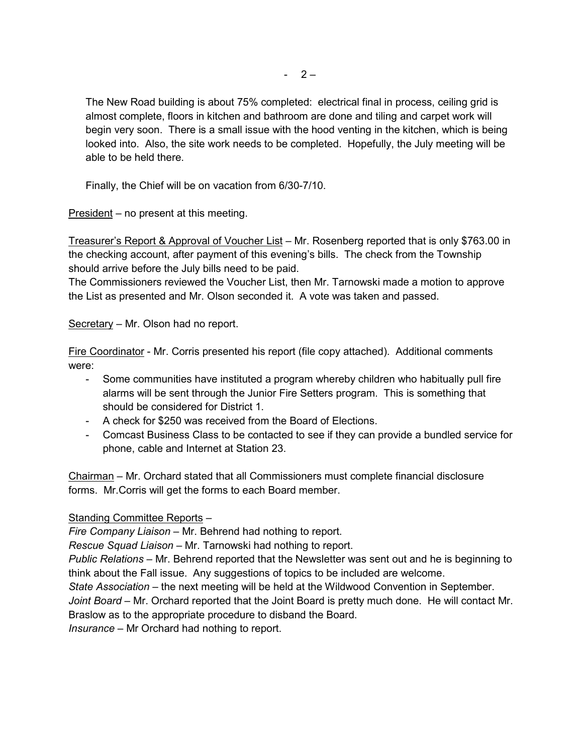The New Road building is about 75% completed: electrical final in process, ceiling grid is almost complete, floors in kitchen and bathroom are done and tiling and carpet work will begin very soon. There is a small issue with the hood venting in the kitchen, which is being looked into. Also, the site work needs to be completed. Hopefully, the July meeting will be able to be held there.

Finally, the Chief will be on vacation from 6/30-7/10.

President – no present at this meeting.

Treasurer's Report & Approval of Voucher List – Mr. Rosenberg reported that is only \$763.00 in the checking account, after payment of this evening's bills. The check from the Township should arrive before the July bills need to be paid.

The Commissioners reviewed the Voucher List, then Mr. Tarnowski made a motion to approve the List as presented and Mr. Olson seconded it. A vote was taken and passed.

Secretary – Mr. Olson had no report.

Fire Coordinator - Mr. Corris presented his report (file copy attached). Additional comments were:

- Some communities have instituted a program whereby children who habitually pull fire alarms will be sent through the Junior Fire Setters program. This is something that should be considered for District 1.
- A check for \$250 was received from the Board of Elections.
- Comcast Business Class to be contacted to see if they can provide a bundled service for phone, cable and Internet at Station 23.

Chairman – Mr. Orchard stated that all Commissioners must complete financial disclosure forms. Mr.Corris will get the forms to each Board member.

# Standing Committee Reports –

*Fire Company Liaison –* Mr. Behrend had nothing to report.

*Rescue Squad Liaison –* Mr. Tarnowski had nothing to report.

*Public Relations –* Mr. Behrend reported that the Newsletter was sent out and he is beginning to think about the Fall issue. Any suggestions of topics to be included are welcome.

*State Association –* the next meeting will be held at the Wildwood Convention in September.

*Joint Board –* Mr. Orchard reported that the Joint Board is pretty much done. He will contact Mr. Braslow as to the appropriate procedure to disband the Board.

*Insurance –* Mr Orchard had nothing to report.